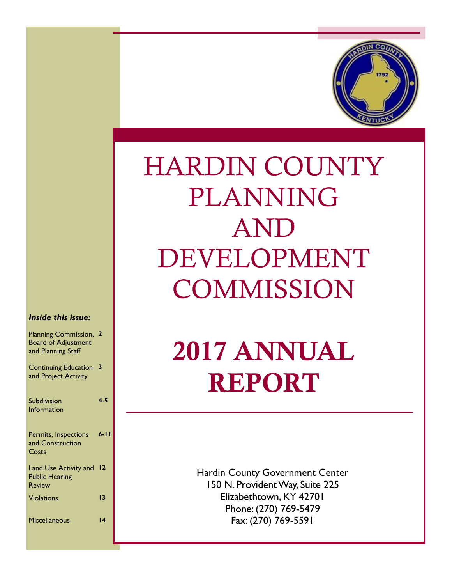

# HARDIN COUNTY PLANNING AND DEVELOPMENT **COMMISSION**

#### *Inside this issue:*

| Planning Commission, 2<br><b>Board of Adjustment</b><br>and Planning Staff |          |
|----------------------------------------------------------------------------|----------|
| <b>Continuing Education</b><br>and Project Activity                        | 3        |
| Subdivision<br>Information                                                 | $4 - 5$  |
| Permits, Inspections<br>and Construction<br>Costs                          | $6 - 11$ |
| Land Use Activity and<br><b>Public Hearing</b><br><b>Review</b>            | 12       |
| <b>Violations</b>                                                          | 13       |
| <b>Miscellaneous</b>                                                       | 14       |

# **2017 ANNUAL REPORT**

Hardin County Government Center 150 N. Provident Way, Suite 225 Elizabethtown, KY 42701 Phone: (270) 769-5479 Fax: (270) 769-5591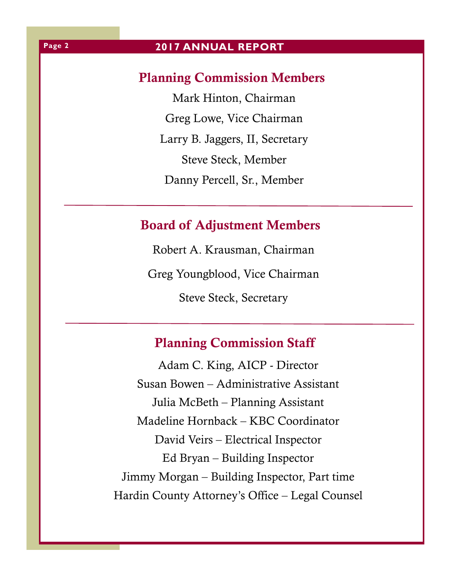# **Planning Commission Members**

Mark Hinton, Chairman Greg Lowe, Vice Chairman Larry B. Jaggers, II, Secretary Steve Steck, Member Danny Percell, Sr., Member

# **Board of Adjustment Members**

Robert A. Krausman, Chairman Greg Youngblood, Vice Chairman Steve Steck, Secretary

# **Planning Commission Staff**

Adam C. King, AICP - Director Susan Bowen – Administrative Assistant Julia McBeth – Planning Assistant Madeline Hornback – KBC Coordinator David Veirs – Electrical Inspector Ed Bryan – Building Inspector Jimmy Morgan – Building Inspector, Part time Hardin County Attorney's Office – Legal Counsel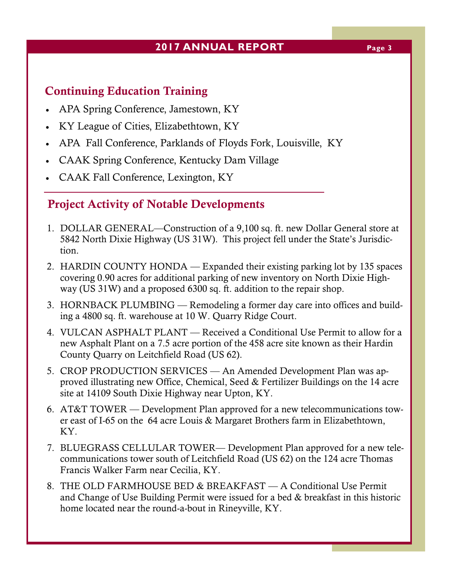# **2017 ANNUAL REPORT Page 3**

# **Continuing Education Training**

- APA Spring Conference, Jamestown, KY
- KY League of Cities, Elizabethtown, KY
- APA Fall Conference, Parklands of Floyds Fork, Louisville, KY
- CAAK Spring Conference, Kentucky Dam Village
- CAAK Fall Conference, Lexington, KY

# **Project Activity of Notable Developments**

- 1. DOLLAR GENERAL—Construction of a 9,100 sq. ft. new Dollar General store at 5842 North Dixie Highway (US 31W). This project fell under the State's Jurisdiction.
- 2. HARDIN COUNTY HONDA Expanded their existing parking lot by 135 spaces covering 0.90 acres for additional parking of new inventory on North Dixie Highway (US 31W) and a proposed 6300 sq. ft. addition to the repair shop.
- 3. HORNBACK PLUMBING Remodeling a former day care into offices and building a 4800 sq. ft. warehouse at 10 W. Quarry Ridge Court.
- 4. VULCAN ASPHALT PLANT Received a Conditional Use Permit to allow for a new Asphalt Plant on a 7.5 acre portion of the 458 acre site known as their Hardin County Quarry on Leitchfield Road (US 62).
- 5. CROP PRODUCTION SERVICES An Amended Development Plan was approved illustrating new Office, Chemical, Seed & Fertilizer Buildings on the 14 acre site at 14109 South Dixie Highway near Upton, KY.
- 6. AT&T TOWER Development Plan approved for a new telecommunications tower east of I-65 on the 64 acre Louis & Margaret Brothers farm in Elizabethtown, KY.
- 7. BLUEGRASS CELLULAR TOWER— Development Plan approved for a new telecommunications tower south of Leitchfield Road (US 62) on the 124 acre Thomas Francis Walker Farm near Cecilia, KY.
- 8. THE OLD FARMHOUSE BED & BREAKFAST A Conditional Use Permit and Change of Use Building Permit were issued for a bed & breakfast in this historic home located near the round-a-bout in Rineyville, KY.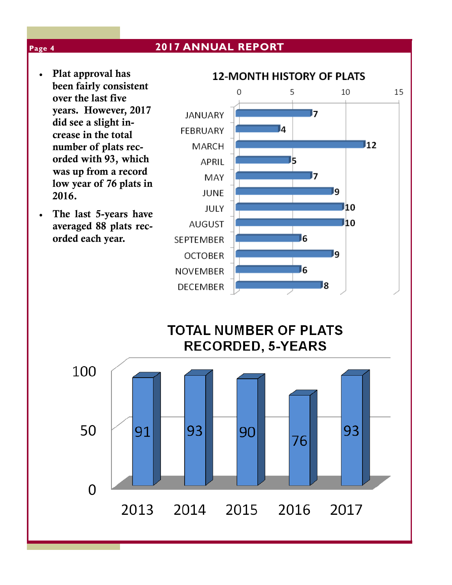- **Plat approval has been fairly consistent over the last five years. However, 2017 did see a slight increase in the total number of plats recorded with 93, which was up from a record low year of 76 plats in 2016.**
- **The last 5-years have averaged 88 plats recorded each year.**



**TOTAL NUMBER OF PLATS RECORDED, 5-YEARS** 



#### **Page 4**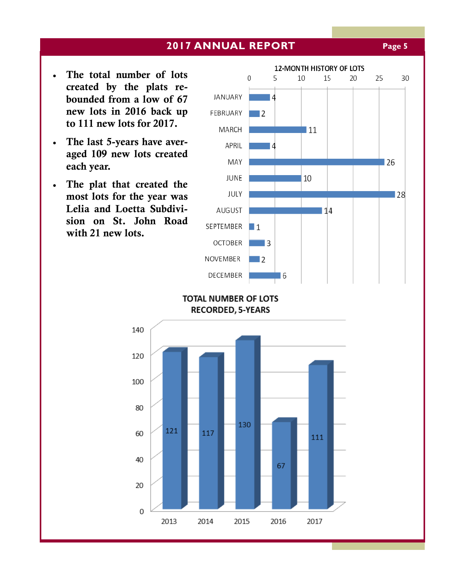### **2017 ANNUAL REPORT Page 5**

- **The total number of lots created by the plats rebounded from a low of 67 new lots in 2016 back up to 111 new lots for 2017.**
- **The last 5-years have averaged 109 new lots created each year.**
- **The plat that created the most lots for the year was Lelia and Loetta Subdivision on St. John Road with 21 new lots.**



**TOTAL NUMBER OF LOTS RECORDED, 5-YEARS** 

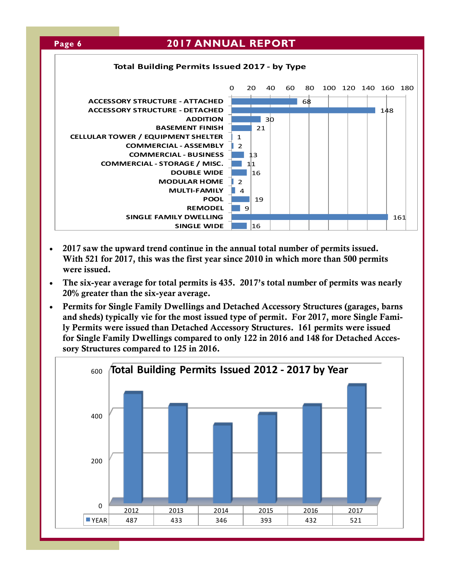

- **2017 saw the upward trend continue in the annual total number of permits issued. With 521 for 2017, this was the first year since 2010 in which more than 500 permits were issued.**
- **The six-year average for total permits is 435. 2017's total number of permits was nearly 20% greater than the six-year average.**
- **Permits for Single Family Dwellings and Detached Accessory Structures (garages, barns and sheds) typically vie for the most issued type of permit. For 2017, more Single Family Permits were issued than Detached Accessory Structures. 161 permits were issued for Single Family Dwellings compared to only 122 in 2016 and 148 for Detached Accessory Structures compared to 125 in 2016.**

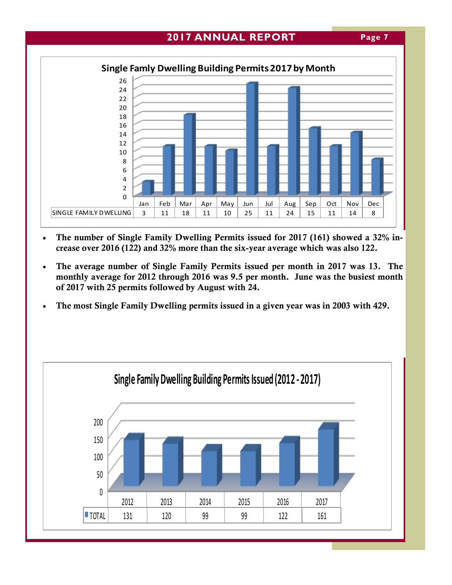



- **The number of Single Family Dwelling Permits issued for 2017 (161) showed a 32% increase over 2016 (122) and 32% more than the six-year average which was also 122.**
- **The average number of Single Family Permits issued per month in 2017 was 13. The monthly average for 2012 through 2016 was 9.5 per month. June was the busiest month of 2017 with 25 permits followed by August with 24.**
- **The most Single Family Dwelling permits issued in a given year was in 2003 with 429.**

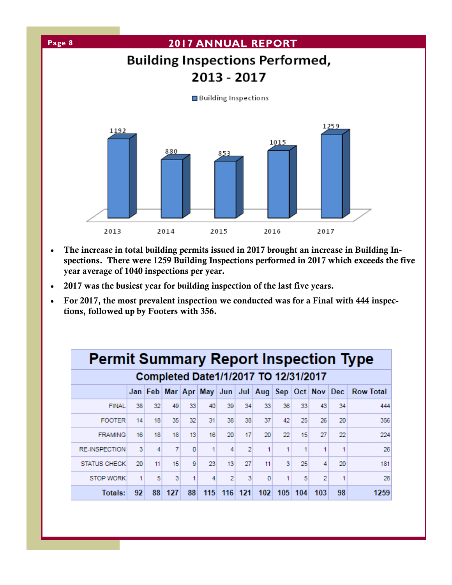

- **The increase in total building permits issued in 2017 brought an increase in Building Inspections. There were 1259 Building Inspections performed in 2017 which exceeds the five year average of 1040 inspections per year.**
- **2017 was the busiest year for building inspection of the last five years.**
- **For 2017, the most prevalent inspection we conducted was for a Final with 444 inspections, followed up by Footers with 356.**

| <b>Permit Summary Report Inspection Type</b> |    |    |     |    |     |                |     |                                                                       |     |     |     |    |                  |
|----------------------------------------------|----|----|-----|----|-----|----------------|-----|-----------------------------------------------------------------------|-----|-----|-----|----|------------------|
| Completed Date1/1/2017 TO 12/31/2017         |    |    |     |    |     |                |     |                                                                       |     |     |     |    |                  |
|                                              |    |    |     |    |     |                |     | Jan   Feb   Mar   Apr   May   Jun   Jul   Aug   Sep   Oct   Nov   Dec |     |     |     |    | <b>Row Total</b> |
| <b>FINAL</b>                                 | 38 | 32 | 49  | 33 | 40  | 39             | 34  | 33                                                                    | 36  | 33  | 43  | 34 | 444              |
| <b>FOOTER</b>                                | 14 | 18 | 35  | 32 | 31  | 38             | 38  | 37                                                                    | 42  | 25  | 26  | 20 | 356              |
| <b>FRAMING</b>                               | 16 | 18 | 18  | 13 | 16  | 20             | 17  | 20                                                                    | 22  | 15  | 27  | 22 | 224              |
| <b>RE-INSPECTION</b>                         | 3  | 4  | 7   | ٥  |     | 4              | 2   | 1                                                                     | 1   | 1   | 1   | 1  | 26               |
| <b>STATUS CHECK</b>                          | 20 | 11 | 15  | 9  | 23  | 13             | 27  | 11                                                                    | 3   | 25  | 4   | 20 | 181              |
| <b>STOP WORK</b>                             | 1  | 5  | 3   | 1  | 4   | $\overline{2}$ | 3   | 0                                                                     | 1   | 5   | 2   | 1  | 28               |
| Totals:                                      | 92 | 88 | 127 | 88 | 115 | 116            | 121 | 102                                                                   | 105 | 104 | 103 | 98 | 1259             |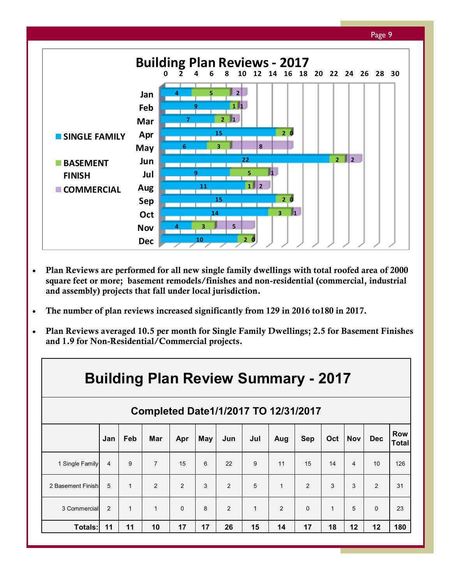

- **Plan Reviews are performed for all new single family dwellings with total roofed area of 2000 square feet or more; basement remodels/finishes and non-residential (commercial, industrial and assembly) projects that fall under local jurisdiction.**
- **The number of plan reviews increased significantly from 129 in 2016 to180 in 2017.**
- **Plan Reviews averaged 10.5 per month for Single Family Dwellings; 2.5 for Basement Finishes and 1.9 for Non-Residential/Commercial projects.**

|                   | <b>Building Plan Review Summary - 2017</b> |              |                |          |     |     |              |              |            |              |            |                |                            |
|-------------------|--------------------------------------------|--------------|----------------|----------|-----|-----|--------------|--------------|------------|--------------|------------|----------------|----------------------------|
|                   | Completed Date1/1/2017 TO 12/31/2017       |              |                |          |     |     |              |              |            |              |            |                |                            |
|                   | Jan                                        | <b>Feb</b>   | <b>Mar</b>     | Apr      | May | Jun | Jul          | Aug          | <b>Sep</b> | Oct          | <b>Nov</b> | <b>Dec</b>     | <b>Row</b><br><b>Total</b> |
| 1 Single Family   | 4                                          | 9            | $\overline{7}$ | 15       | 6   | 22  | 9            | 11           | 15         | 14           | 4          | 10             | 126                        |
| 2 Basement Finish | 5                                          | $\mathbf{1}$ | 2              | 2        | 3   | 2   | 5            | $\mathbf{1}$ | 2          | 3            | 3          | $\overline{2}$ | 31                         |
| 3 Commercial      | $\mathcal{P}$                              | $\mathbf{1}$ | $\mathbf{1}$   | $\Omega$ | 8   | 2   | $\mathbf{1}$ | 2            | $\Omega$   | $\mathbf{1}$ | 5          | $\Omega$       | 23                         |
| Totals:           | 11                                         | 11           | 10             | 17       | 17  | 26  | 15           | 14           | 17         | 18           | 12         | 12             | 180                        |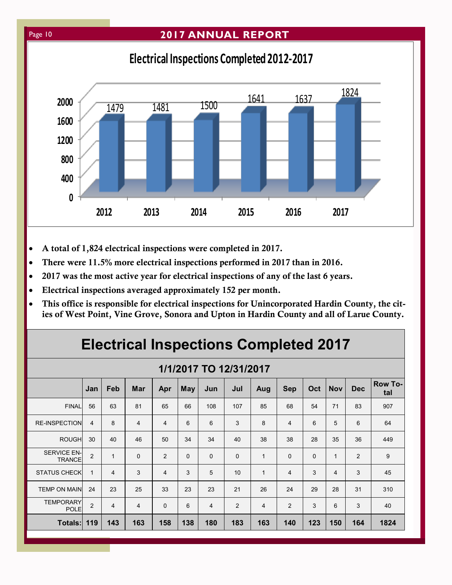### Page 10 **2017 ANNUAL REPORT**

# **Electrical Inspections Completed 2012-2017**



- **A total of 1,824 electrical inspections were completed in 2017.**
- **There were 11.5% more electrical inspections performed in 2017 than in 2016.**
- **2017 was the most active year for electrical inspections of any of the last 6 years.**
- **Electrical inspections averaged approximately 152 per month.**
- **This office is responsible for electrical inspections for Unincorporated Hardin County, the cities of West Point, Vine Grove, Sonora and Upton in Hardin County and all of Larue County.**

# **Electrical Inspections Completed 2017**

#### **1/1/2017 TO 12/31/2017**

| . <b>. .</b><br>$\ddot{\phantom{0}}$ |                |              |                |                |              |                |             |              |             |          |                |                |                       |
|--------------------------------------|----------------|--------------|----------------|----------------|--------------|----------------|-------------|--------------|-------------|----------|----------------|----------------|-----------------------|
|                                      | Jan            | Feb          | <b>Mar</b>     | Apr            | <b>May</b>   | Jun            | Jul         | Aug          | <b>Sep</b>  | Oct      | <b>Nov</b>     | <b>Dec</b>     | <b>Row To-</b><br>tal |
| <b>FINAL</b>                         | 56             | 63           | 81             | 65             | 66           | 108            | 107         | 85           | 68          | 54       | 71             | 83             | 907                   |
| <b>RE-INSPECTION</b>                 | 4              | 8            | $\overline{4}$ | $\overline{4}$ | 6            | 6              | 3           | 8            | 4           | 6        | 5              | 6              | 64                    |
| <b>ROUGH</b>                         | 30             | 40           | 46             | 50             | 34           | 34             | 40          | 38           | 38          | 28       | 35             | 36             | 449                   |
| <b>SERVICE EN-</b><br><b>TRANCE</b>  | $\overline{2}$ | $\mathbf{1}$ | $\mathbf 0$    | 2              | $\mathbf{0}$ | $\mathbf 0$    | $\mathbf 0$ | $\mathbf{1}$ | $\mathbf 0$ | $\Omega$ | $\mathbf{1}$   | $\overline{2}$ | 9                     |
| <b>STATUS CHECK</b>                  | 1              | 4            | 3              | $\overline{4}$ | 3            | 5              | 10          | 1            | 4           | 3        | $\overline{4}$ | 3              | 45                    |
| <b>TEMP ON MAIN</b>                  | 24             | 23           | 25             | 33             | 23           | 23             | 21          | 26           | 24          | 29       | 28             | 31             | 310                   |
| <b>TEMPORARY</b><br><b>POLE</b>      | 2              | 4            | $\overline{4}$ | $\mathbf 0$    | 6            | $\overline{4}$ | 2           | 4            | 2           | 3        | 6              | 3              | 40                    |
| <b>Totals: 119</b>                   |                | 143          | 163            | 158            | 138          | 180            | 183         | 163          | 140         | 123      | 150            | 164            | 1824                  |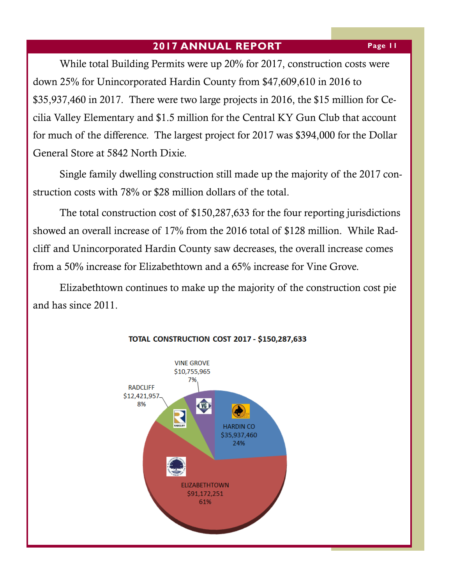While total Building Permits were up 20% for 2017, construction costs were down 25% for Unincorporated Hardin County from \$47,609,610 in 2016 to \$35,937,460 in 2017. There were two large projects in 2016, the \$15 million for Cecilia Valley Elementary and \$1.5 million for the Central KY Gun Club that account for much of the difference. The largest project for 2017 was \$394,000 for the Dollar General Store at 5842 North Dixie.

Single family dwelling construction still made up the majority of the 2017 construction costs with 78% or \$28 million dollars of the total.

The total construction cost of \$150,287,633 for the four reporting jurisdictions showed an overall increase of 17% from the 2016 total of \$128 million. While Radcliff and Unincorporated Hardin County saw decreases, the overall increase comes from a 50% increase for Elizabethtown and a 65% increase for Vine Grove.

Elizabethtown continues to make up the majority of the construction cost pie and has since 2011.



#### TOTAL CONSTRUCTION COST 2017 - \$150,287,633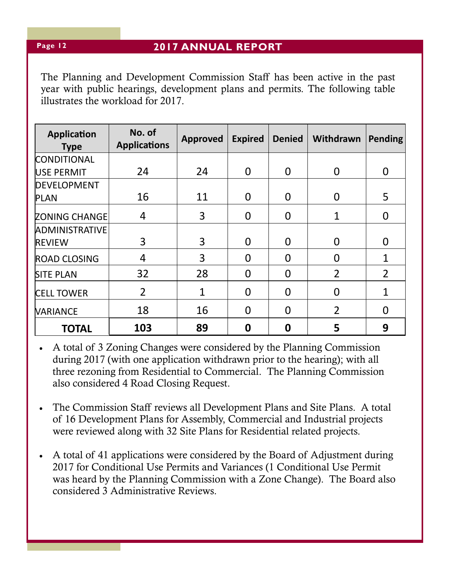The Planning and Development Commission Staff has been active in the past year with public hearings, development plans and permits. The following table illustrates the workload for 2017.

| <b>Application</b><br><b>Type</b> | No. of<br><b>Applications</b> | <b>Approved</b> | <b>Expired</b> | <b>Denied</b>  | Withdrawn      | <b>Pending</b> |
|-----------------------------------|-------------------------------|-----------------|----------------|----------------|----------------|----------------|
| <b>CONDITIONAL</b>                |                               |                 |                |                |                |                |
| <b>USE PERMIT</b>                 | 24                            | 24              | $\Omega$       | $\Omega$       | 0              | 0              |
| <b>DEVELOPMENT</b>                |                               |                 |                |                |                |                |
| <b>PLAN</b>                       | 16                            | 11              | $\Omega$       | $\Omega$       | $\overline{0}$ | 5              |
| <b>ZONING CHANGE</b>              | 4                             | 3               | $\Omega$       | $\Omega$       | 1              | $\overline{0}$ |
| <b>ADMINISTRATIVE</b>             |                               |                 |                |                |                |                |
| <b>REVIEW</b>                     | 3                             | 3               | $\Omega$       | $\Omega$       | $\Omega$       | $\Omega$       |
| <b>ROAD CLOSING</b>               | 4                             | 3               | $\Omega$       | $\Omega$       | 0              | $\mathbf{1}$   |
| <b>SITE PLAN</b>                  | 32                            | 28              | $\overline{0}$ | $\overline{0}$ | $\overline{2}$ | $\overline{2}$ |
| <b>CELL TOWER</b>                 | $\overline{2}$                | 1               | $\Omega$       | $\Omega$       | $\Omega$       | 1              |
| <b>VARIANCE</b>                   | 18                            | 16              | $\Omega$       | $\Omega$       | $\overline{2}$ | 0              |
| <b>TOTAL</b>                      | 103                           | 89              | 0              | 0              | 5              | 9              |

 A total of 3 Zoning Changes were considered by the Planning Commission during 2017 (with one application withdrawn prior to the hearing); with all three rezoning from Residential to Commercial. The Planning Commission also considered 4 Road Closing Request.

- The Commission Staff reviews all Development Plans and Site Plans. A total of 16 Development Plans for Assembly, Commercial and Industrial projects were reviewed along with 32 Site Plans for Residential related projects.
- A total of 41 applications were considered by the Board of Adjustment during 2017 for Conditional Use Permits and Variances (1 Conditional Use Permit was heard by the Planning Commission with a Zone Change). The Board also considered 3 Administrative Reviews.

**Page 12**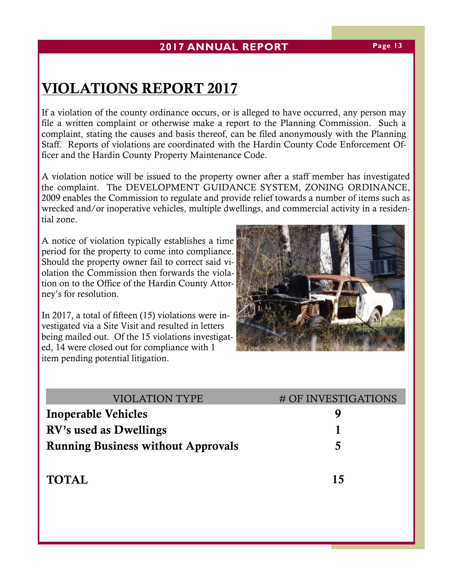# **VIOLATIONS REPORT 2017**

If a violation of the county ordinance occurs, or is alleged to have occurred, any person may file a written complaint or otherwise make a report to the Planning Commission. Such a complaint, stating the causes and basis thereof, can be filed anonymously with the Planning Staff. Reports of violations are coordinated with the Hardin County Code Enforcement Officer and the Hardin County Property Maintenance Code.

A violation notice will be issued to the property owner after a staff member has investigated the complaint. The DEVELOPMENT GUIDANCE SYSTEM, ZONING ORDINANCE, 2009 enables the Commission to regulate and provide relief towards a number of items such as wrecked and/or inoperative vehicles, multiple dwellings, and commercial activity in a residential zone.

A notice of violation typically establishes a time period for the property to come into compliance. Should the property owner fail to correct said violation the Commission then forwards the violation on to the Office of the Hardin County Attorney's for resolution.

In 2017, a total of fifteen (15) violations were investigated via a Site Visit and resulted in letters being mailed out. Of the 15 violations investigated, 14 were closed out for compliance with 1 item pending potential litigation.

| <b>VIOLATION TYPE</b>                     | # OF INVESTIGATIONS |
|-------------------------------------------|---------------------|
| <b>Inoperable Vehicles</b>                |                     |
| RV's used as Dwellings                    |                     |
| <b>Running Business without Approvals</b> | 5                   |
|                                           |                     |

# **TOTAL 15**